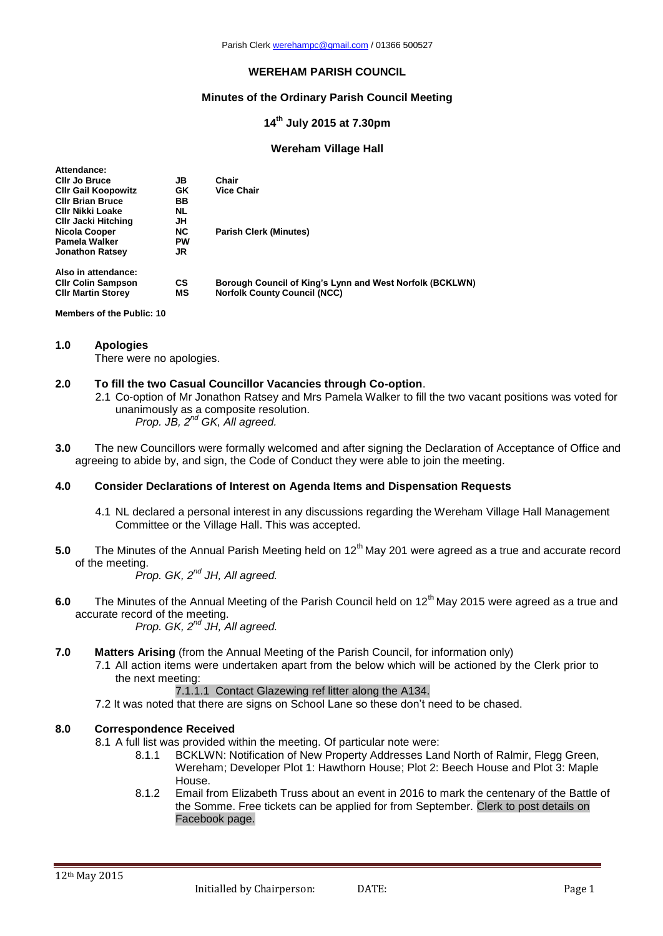#### **WEREHAM PARISH COUNCIL**

#### **Minutes of the Ordinary Parish Council Meeting**

## **14 th July 2015 at 7.30pm**

#### **Wereham Village Hall**

| Attendance:                |           |                                                          |
|----------------------------|-----------|----------------------------------------------------------|
| <b>CIIr Jo Bruce</b>       | JB        | Chair                                                    |
| <b>CIIr Gail Koopowitz</b> | GK        | <b>Vice Chair</b>                                        |
| <b>CIIr Brian Bruce</b>    | ВB        |                                                          |
| <b>CIIr Nikki Loake</b>    | NL.       |                                                          |
| <b>CIIr Jacki Hitching</b> | JH        |                                                          |
| Nicola Cooper              | <b>NC</b> | <b>Parish Clerk (Minutes)</b>                            |
| Pamela Walker              | <b>PW</b> |                                                          |
| <b>Jonathon Ratsey</b>     | JR        |                                                          |
| Also in attendance:        |           |                                                          |
| <b>CIIr Colin Sampson</b>  | <b>CS</b> | Borough Council of King's Lynn and West Norfolk (BCKLWN) |
| <b>CIIr Martin Storey</b>  | МS        | <b>Norfolk County Council (NCC)</b>                      |

**Members of the Public: 10**

#### **1.0 Apologies**

There were no apologies.

#### **2.0 To fill the two Casual Councillor Vacancies through Co-option**.

- 2.1 Co-option of Mr Jonathon Ratsey and Mrs Pamela Walker to fill the two vacant positions was voted for unanimously as a composite resolution. *Prop. JB, 2nd GK, All agreed.*
	-
- **3.0** The new Councillors were formally welcomed and after signing the Declaration of Acceptance of Office and agreeing to abide by, and sign, the Code of Conduct they were able to join the meeting.

#### **4.0 Consider Declarations of Interest on Agenda Items and Dispensation Requests**

- 4.1 NL declared a personal interest in any discussions regarding the Wereham Village Hall Management Committee or the Village Hall. This was accepted.
- 5.0 The Minutes of the Annual Parish Meeting held on 12<sup>th</sup> May 201 were agreed as a true and accurate record of the meeting.

*Prop. GK, 2 nd JH, All agreed.*

6.0 The Minutes of the Annual Meeting of the Parish Council held on 12<sup>th</sup> May 2015 were agreed as a true and accurate record of the meeting.

*Prop. GK, 2nd JH, All agreed.*

- **7.0 Matters Arising** (from the Annual Meeting of the Parish Council, for information only)
	- 7.1 All action items were undertaken apart from the below which will be actioned by the Clerk prior to the next meeting:

7.1.1.1 Contact Glazewing ref litter along the A134.

7.2 It was noted that there are signs on School Lane so these don't need to be chased.

# **8.0 Correspondence Received**

- 8.1 A full list was provided within the meeting. Of particular note were:
	- 8.1.1 BCKLWN: Notification of New Property Addresses Land North of Ralmir, Flegg Green, Wereham; Developer Plot 1: Hawthorn House; Plot 2: Beech House and Plot 3: Maple House.
	- 8.1.2 Email from Elizabeth Truss about an event in 2016 to mark the centenary of the Battle of the Somme. Free tickets can be applied for from September. Clerk to post details on Facebook page.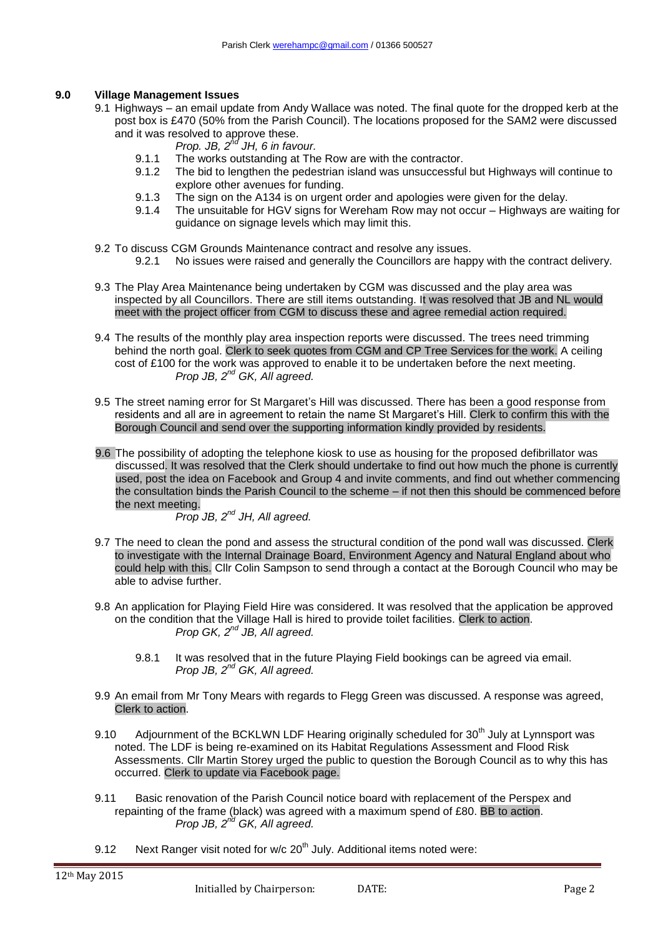## **9.0 Village Management Issues**

- 9.1 Highways an email update from Andy Wallace was noted. The final quote for the dropped kerb at the post box is £470 (50% from the Parish Council). The locations proposed for the SAM2 were discussed and it was resolved to approve these.
	- *Prop. JB, 2nd JH, 6 in favour.*
	- 9.1.1 The works outstanding at The Row are with the contractor.
	- 9.1.2 The bid to lengthen the pedestrian island was unsuccessful but Highways will continue to explore other avenues for funding.
	- 9.1.3 The sign on the A134 is on urgent order and apologies were given for the delay.
	- 9.1.4 The unsuitable for HGV signs for Wereham Row may not occur Highways are waiting for guidance on signage levels which may limit this.
- 9.2 To discuss CGM Grounds Maintenance contract and resolve any issues. 9.2.1 No issues were raised and generally the Councillors are happy with the contract delivery.
- 9.3 The Play Area Maintenance being undertaken by CGM was discussed and the play area was inspected by all Councillors. There are still items outstanding. It was resolved that JB and NL would meet with the project officer from CGM to discuss these and agree remedial action required.
- 9.4 The results of the monthly play area inspection reports were discussed. The trees need trimming behind the north goal. Clerk to seek quotes from CGM and CP Tree Services for the work. A ceiling cost of £100 for the work was approved to enable it to be undertaken before the next meeting. *Prop JB, 2nd GK, All agreed.*
- 9.5 The street naming error for St Margaret's Hill was discussed. There has been a good response from residents and all are in agreement to retain the name St Margaret's Hill. Clerk to confirm this with the Borough Council and send over the supporting information kindly provided by residents.
- 9.6 The possibility of adopting the telephone kiosk to use as housing for the proposed defibrillator was discussed. It was resolved that the Clerk should undertake to find out how much the phone is currently used, post the idea on Facebook and Group 4 and invite comments, and find out whether commencing the consultation binds the Parish Council to the scheme – if not then this should be commenced before the next meeting.

*Prop JB, 2nd JH, All agreed.*

- 9.7 The need to clean the pond and assess the structural condition of the pond wall was discussed. Clerk to investigate with the Internal Drainage Board, Environment Agency and Natural England about who could help with this. Cllr Colin Sampson to send through a contact at the Borough Council who may be able to advise further.
- 9.8 An application for Playing Field Hire was considered. It was resolved that the application be approved on the condition that the Village Hall is hired to provide toilet facilities. Clerk to action. *Prop GK, 2nd JB, All agreed.*
	- 9.8.1 It was resolved that in the future Playing Field bookings can be agreed via email. *Prop JB, 2nd GK, All agreed.*
- 9.9 An email from Mr Tony Mears with regards to Flegg Green was discussed. A response was agreed, Clerk to action.
- 9.10 Adjournment of the BCKLWN LDF Hearing originally scheduled for 30<sup>th</sup> July at Lynnsport was noted. The LDF is being re-examined on its Habitat Regulations Assessment and Flood Risk Assessments. Cllr Martin Storey urged the public to question the Borough Council as to why this has occurred. Clerk to update via Facebook page.
- 9.11 Basic renovation of the Parish Council notice board with replacement of the Perspex and repainting of the frame (black) was agreed with a maximum spend of £80. BB to action. *Prop JB, 2nd GK, All agreed.*
- 9.12 Next Ranger visit noted for w/c  $20<sup>th</sup>$  July. Additional items noted were: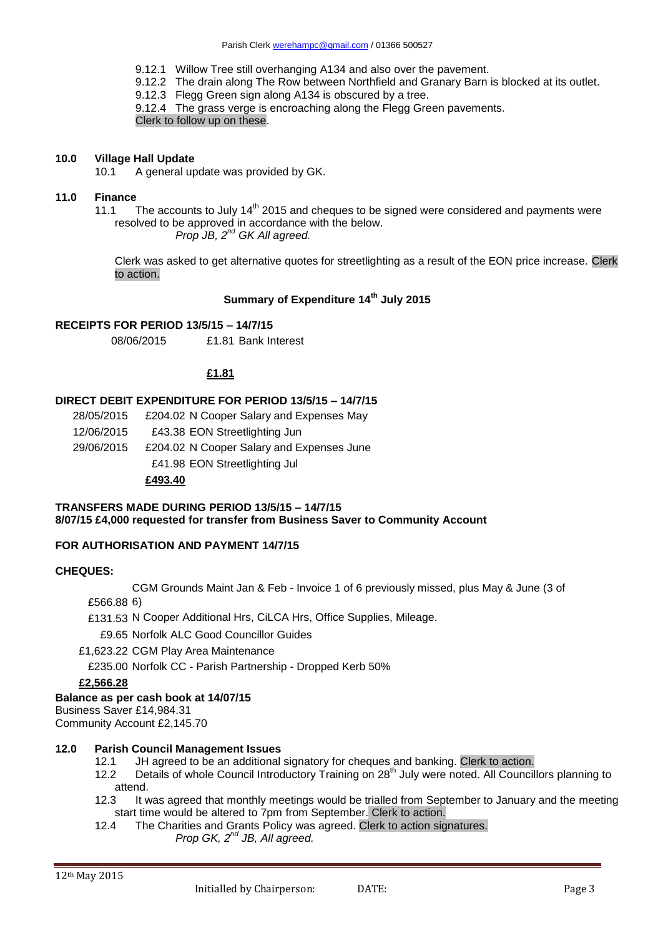- 9.12.1 Willow Tree still overhanging A134 and also over the pavement.
- 9.12.2 The drain along The Row between Northfield and Granary Barn is blocked at its outlet.
- 9.12.3 Flegg Green sign along A134 is obscured by a tree.

9.12.4 The grass verge is encroaching along the Flegg Green pavements. Clerk to follow up on these.

## **10.0 Village Hall Update**

10.1 A general update was provided by GK.

#### **11.0 Finance**

11.1 The accounts to July  $14<sup>th</sup>$  2015 and cheques to be signed were considered and payments were resolved to be approved in accordance with the below. *Prop JB, 2nd GK All agreed.*

Clerk was asked to get alternative quotes for streetlighting as a result of the EON price increase. Clerk to action.

# **Summary of Expenditure 14th July 2015**

## **RECEIPTS FOR PERIOD 13/5/15 – 14/7/15**

08/06/2015 £1.81 Bank Interest

## **£1.81**

## **DIRECT DEBIT EXPENDITURE FOR PERIOD 13/5/15 – 14/7/15**

| 28/05/2015 | £204.02 N Cooper Salary and Expenses May  |
|------------|-------------------------------------------|
| 12/06/2015 | £43.38 EON Streetlighting Jun             |
| 29/06/2015 | £204.02 N Cooper Salary and Expenses June |
|            | £41.98 EON Streetlighting Jul             |
|            | £493.40                                   |

## **TRANSFERS MADE DURING PERIOD 13/5/15 – 14/7/15 8/07/15 £4,000 requested for transfer from Business Saver to Community Account**

## **FOR AUTHORISATION AND PAYMENT 14/7/15**

## **CHEQUES:**

CGM Grounds Maint Jan & Feb - Invoice 1 of 6 previously missed, plus May & June (3 of

£566.88 6)

£131.53 N Cooper Additional Hrs, CiLCA Hrs, Office Supplies, Mileage.

£9.65 Norfolk ALC Good Councillor Guides

£1,623.22 CGM Play Area Maintenance

£235.00 Norfolk CC - Parish Partnership - Dropped Kerb 50%

## **£2,566.28**

## **Balance as per cash book at 14/07/15**

Business Saver £14,984.31 Community Account £2,145.70

# **12.0 Parish Council Management Issues**

- 12.1 JH agreed to be an additional signatory for cheques and banking. Clerk to action.
- 12.2 Details of whole Council Introductory Training on 28<sup>th</sup> July were noted. All Councillors planning to attend.
- 12.3 It was agreed that monthly meetings would be trialled from September to January and the meeting start time would be altered to 7pm from September. Clerk to action.
- 12.4 The Charities and Grants Policy was agreed. Clerk to action signatures. *Prop GK, 2nd JB, All agreed.*